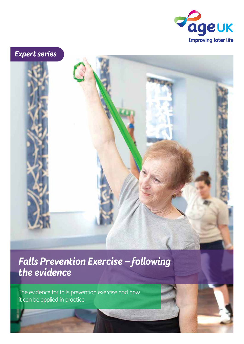

# *Expert series*

# *Falls Prevention Exercise – following the evidence*

The evidence for falls prevention exercise and how it can be applied in practice.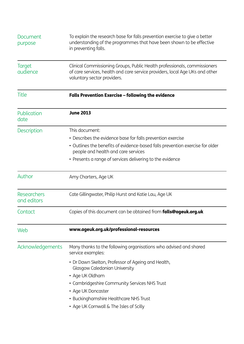| Document<br>purpose               | To explain the research base for falls prevention exercise to give a better<br>understanding of the programmes that have been shown to be effective<br>in preventing falls.              |  |  |
|-----------------------------------|------------------------------------------------------------------------------------------------------------------------------------------------------------------------------------------|--|--|
| <b>Target</b><br>audience         | Clinical Commissioning Groups, Public Health professionals, commissioners<br>of care services, health and care service providers, local Age UKs and other<br>voluntary sector providers. |  |  |
| Title                             | <b>Falls Prevention Exercise - following the evidence</b>                                                                                                                                |  |  |
| Publication<br>date               | <b>June 2013</b>                                                                                                                                                                         |  |  |
| <b>Description</b>                | This document:                                                                                                                                                                           |  |  |
|                                   | • Describes the evidence base for falls prevention exercise                                                                                                                              |  |  |
|                                   | • Outlines the benefits of evidence-based falls prevention exercise for older<br>people and health and care services                                                                     |  |  |
|                                   | • Presents a range of services delivering to the evidence                                                                                                                                |  |  |
| Author                            | Amy Charters, Age UK                                                                                                                                                                     |  |  |
| <b>Researchers</b><br>and editors | Cate Gillingwater, Philip Hurst and Katie Lau, Age UK                                                                                                                                    |  |  |
| Contact                           | Copies of this document can be obtained from <b>falls@ageuk.org.uk</b>                                                                                                                   |  |  |
| Web                               | www.ageuk.org.uk/professional-resources                                                                                                                                                  |  |  |
| Acknowledgements                  | Many thanks to the following organisations who advised and shared<br>service examples:                                                                                                   |  |  |
|                                   | • Dr Dawn Skelton, Professor of Ageing and Health,<br><b>Glasgow Caledonian University</b>                                                                                               |  |  |
|                                   | • Age UK Oldham                                                                                                                                                                          |  |  |
|                                   | • Cambridgeshire Community Services NHS Trust                                                                                                                                            |  |  |
|                                   | • Age UK Doncaster                                                                                                                                                                       |  |  |
|                                   | • Buckinghamshire Healthcare NHS Trust                                                                                                                                                   |  |  |
|                                   | • Age UK Cornwall & The Isles of Scilly                                                                                                                                                  |  |  |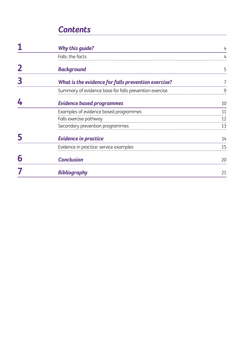## *Contents*

| <b>Why this guide?</b>                                 |    |
|--------------------------------------------------------|----|
| Falls: the facts                                       |    |
| <b>Background</b>                                      | 5  |
| What is the evidence for falls prevention exercise?    |    |
| Summary of evidence base for falls prevention exercise | q  |
| <b>Evidence based programmes</b>                       | 10 |
| Examples of evidence based programmes                  | 11 |
| Falls exercise pathway                                 | 12 |
| Secondary prevention programmes                        | 13 |
| <b>Evidence in practice</b>                            | 14 |
| Evidence in practice: service examples                 | 15 |
| <b>Conclusion</b>                                      | 20 |
| Bibliography                                           | 21 |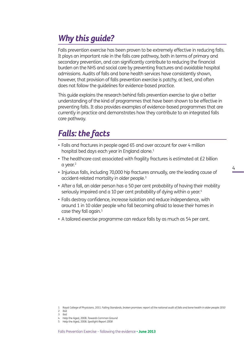# *Why this guide?*

Falls prevention exercise has been proven to be extremely effective in reducing falls. It plays an important role in the falls care pathway, both in terms of primary and secondary prevention, and can significantly contribute to reducing the financial burden on the NHS and social care by preventing fractures and avoidable hospital admissions. Audits of falls and bone health services have consistently shown, however, that provision of falls prevention exercise is patchy, at best, and often does not follow the guidelines for evidence-based practice.

This guide explains the research behind falls prevention exercise to give a better understanding of the kind of programmes that have been shown to be effective in preventing falls. It also provides examples of evidence-based programmes that are currently in practice and demonstrates how they contribute to an integrated falls care pathway.

# *Falls: the facts*

- Falls and fractures in people aged 65 and over account for over 4 million hospital bed days each year in England alone.<sup>1</sup>
- The healthcare cost associated with fragility fractures is estimated at £2 billion  $a$  year. $2$
- Injurious falls, including 70,000 hip fractures annually, are the leading cause of accident-related mortality in older people.3
- After a fall, an older person has a 50 per cent probability of having their mobility seriously impaired and a 10 per cent probability of dying within a year.<sup>4</sup>
- Falls destroy confidence, increase isolation and reduce independence, with around 1 in 10 older people who fall becoming afraid to leave their homes in case they fall again.<sup>5</sup>
- A tailored exercise programme can reduce falls by as much as 54 per cent.

<sup>1</sup> Royal College of Physicians. 2011. *Falling Standards, broken promises: report of the national audit of falls and bone health in older people 2010* 2 ibid

<sup>3</sup> ibid

<sup>4</sup> Help the Aged, 2008. *Towards Common Ground*

<sup>5</sup> Help the Aged, 2008. *Spotlight Report 2008*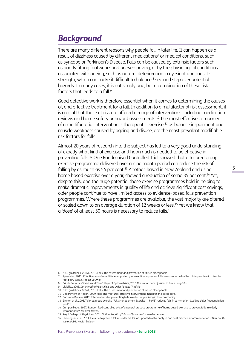# *Background*

There are many different reasons why people fall in later life. It can happen as a result of dizziness caused by different medications<sup>6</sup> or medical conditions, such as syncope or Parkinson's Disease. Falls can be caused by extrinsic factors such as poorly fitting footwear<sup>7</sup> and uneven paving, or by the physiological conditions associated with ageing, such as natural deterioration in eyesight and muscle strength, which can make it difficult to balance, $^{\circ}$  see and step over potential hazards. In many cases, it is not simply one, but a combination of these risk factors that leads to a fall.9

Good detective work is therefore essential when it comes to determining the causes of, and effective treatment for a fall. In addition to a multifactorial risk assessment, it is crucial that those at risk are offered a range of interventions, including medication reviews and home safety or hazard assessments.10 The most effective component of a multifactorial intervention is therapeutic exercise,<sup>11</sup> as balance impairment and muscle weakness caused by ageing and disuse, are the most prevalent modifiable risk factors for falls.

Almost 20 years of research into the subject has led to a very good understanding of exactly what kind of exercise and how much is needed to be effective in preventing falls.12 One Randomised Controlled Trial showed that a tailored group exercise programme delivered over a nine month period can reduce the risk of falling by as much as 54 per cent.<sup>13</sup> Another, based in New Zealand and using home based exercise over a year, showed a reduction of some 35 per cent.<sup>14</sup> Yet, despite this, and the huge potential these exercise programmes hold in helping to make dramatic improvements in quality of life and achieve significant cost savings, older people continue to have limited access to evidence-based falls prevention programmes. Where these programmes are available, the vast majority are altered or scaled down to an average duration of 12 weeks or less.15 Yet we know that a 'dose' of at least 50 hours is necessary to reduce falls.16

- 6 NICE guidelines, CG161, 2013. Falls: The assessment and prevention of falls in older people
- 7 Spink et al, 2011. 'Effectiveness of a multifaceted podiatry intervention to prevent falls in community dwelling older people with disabling foot pain.' *British Medical Journal*
- 8 British Geriatrics Society and The College of Optometrists, 2010 *The Importance of Vision in Preventing Falls*
- 9 Visibility, 2005. *Deteriorating Vision, Falls and Older People: The links*
- 10 NICE guidelines, CG161, 2013. Falls: The assessment and prevention of falls in older people
- 11 Department of Health, 2009. Falls and fractures: effective interventions in health and social care.
- 12 Cochrane Review, 2012. Interventions for preventing falls in older people living in the community.
- 
- 13 Skelton et al, 2005. Tailored group exercise (Falls Management Exercise FaME) reduces falls in community-dwelling older frequent fallers (an RCT).

<sup>14</sup> Campbell at al, 1997. 'Randomised controlled trial of a general practice programme of home based exercise to prevent falls in elderly women.' *British Medical Journal*

<sup>15</sup> Royal College of Physicians. 2011. *National audit of falls and bone health in older people*

<sup>16</sup> Sherrington et al. 2011 'Exercise to prevent falls in older adults: an updated meta-analysis and best practice recommendations.' *New South Wales Public Health Bulletin*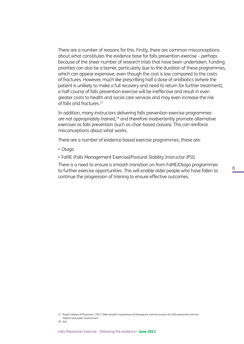There are a number of reasons for this. Firstly, there are common misconceptions about what constitutes the evidence base for falls prevention exercise – perhaps because of the sheer number of research trials that have been undertaken. Funding priorities can also be a barrier, particularly due to the duration of these programmes, which can appear expensive, even though the cost is low compared to the costs of fractures. However, much like prescribing half a dose of antibiotics (where the patient is unlikely to make a full recovery and need to return for further treatment), a half-course of falls prevention exercise will be ineffective and result in even greater costs to health and social care services and may even increase the risk of falls and fractures.17

In addition, many instructors delivering falls prevention exercise programmes are not appropriately trained,18 and therefore inadvertently promote alternative exercises as falls prevention (such as chair-based classes). This can reinforce misconceptions about what works.

There are a number of evidence based exercise programmes, these are:

- • Otago
- FaME (Falls Management Exercise)/Postural Stability Instructor (PSI)

There is a need to ensure a smooth transition on from FaME/Otago programmes to further exercise opportunities. This will enable older people who have fallen to continue the progression of training to ensure effective outcomes.

<sup>17</sup> Royal College of Physicians. 2012. *Older people's experience of therapeutic exercise as part of a falls prevention service. Patient and public involvement*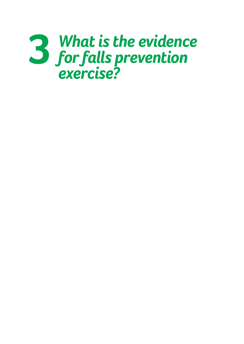# *What is the evidence for falls prevention exercise?* **3**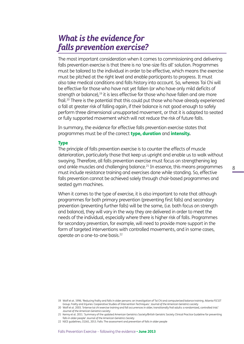## *What is the evidence for falls prevention exercise?*

The most important consideration when it comes to commissioning and delivering falls prevention exercise is that there is no 'one-size fits all' solution. Programmes must be tailored to the individual in order to be effective, which means the exercise must be pitched at the right level and enable participants to progress. It must also take medical conditions and falls history into account. So, whereas Tai Chi will be effective for those who have not yet fallen (or who have only mild deficits of strength or balance),<sup>19</sup> it is less effective for those who have fallen and are more frail.<sup>20</sup> There is the potential that this could put those who have already experienced a fall at greater risk of falling again, if their balance is not good enough to safely perform three dimensional unsupported movement, or that it is adapted to seated or fully supported movement which will not reduce the risk of future falls.

In summary, the evidence for effective falls prevention exercise states that programmes must be of the correct type, duration and intensity.

### **Type**

The principle of falls prevention exercise is to counter the effects of muscle deterioration, particularly those that keep us upright and enable us to walk without swaying. Therefore, all falls prevention exercise must focus on strengthening leg and ankle muscles and challenging balance.<sup>21</sup> In essence, this means programmes must include resistance training and exercises done while standing. So, effective falls prevention cannot be achieved solely through chair-based programmes and seated gym machines.

When it comes to the type of exercise, it is also important to note that although programmes for both primary prevention (preventing first falls) and secondary prevention (preventing further falls) will be the same, (i.e. both focus on strength and balance), they will vary in the way they are delivered in order to meet the needs of the individual, especially where there is higher risk of falls. Programmes for secondary prevention, for example, will need to provide more support in the form of targeted interventions with controlled movements, and in some cases, operate on a one-to-one basis.22

<sup>19</sup> Wolf et at. 1996. 'Reducing frailty and falls in older persons: an investigation of Tai Chi and computerized balance training. Atlanta FICSIT Group. Frailty and Injuries: Cooperative Studies of Intervention Techniques.' *Journal of the American Geriatrics society*

<sup>20</sup> Wolf et al. 2003. 'Intense tai chi exercise training and fall occurrences in older, transitionally frail adults: a randomized, controlled trial.' *Journal of the American Geriatrics society*

<sup>21</sup> Kenny et al. 2011. 'Summary of the updated American Geriatrics Society/British Geriatric Society Clinical Practice Guideline for preventing falls in older people' *Journal of the American Geriatrics Society*

<sup>22</sup> NICE guidelines, CG161, 2013. Falls: The assessment and prevention of falls in older people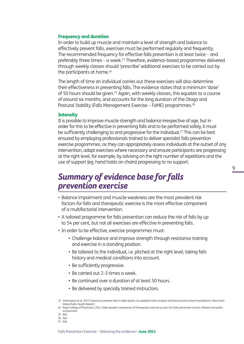### Frequency and duration

In order to build up muscle and maintain a level of strength and balance to effectively prevent falls, exercises must be performed regularly and frequently. The recommended frequency for effective falls prevention is at least twice – and preferably three times – a week.<sup>23</sup> Therefore, evidence-based programmes delivered through weekly classes should 'prescribe' additional exercises to be carried out by the participants at home.<sup>24</sup>

The length of time an individual carries out these exercises will also determine their effectiveness in preventing falls. The evidence states that a minimum 'dose' of 50 hours should be given.25 Again, with weekly classes, this equates to a course of around six months, and accounts for the long duration of the Otago and Postural Stability (Falls Management Exercise – FaME) programmes.26

### **Intensity**

It is possible to improve muscle strength and balance irrespective of age, but in order for this to be effective in preventing falls and to be performed safely, it must be sufficiently challenging to and progressive for the individual.<sup>27</sup> This can be best ensured by employing professionals trained to deliver specialist falls prevention exercise programmes, as they can appropriately assess individuals at the outset of any intervention, adapt exercises where necessary and ensure participants are progressing at the right level, for example, by advising on the right number of repetitions and the use of support (eg. hand holds on chairs) progressing to no support.

## *Summary of evidence base for falls prevention exercise*

- Balance impairment and muscle weakness are the most prevalent risk factors for falls and therapeutic exercise is the most effective component of a multifactorial intervention.
- A tailored programme for falls prevention can reduce the risk of falls by up to 54 per cent, but not all exercises are effective in preventing falls.
- In order to be effective, exercise programmes must:
	- Challenge balance and improve strength through resistance training and exercise in a standing position.
	- Be tailored to the individual, i.e. pitched at the right level, taking falls history and medical conditions into account.
	- Be sufficiently progressive.
	- Be carried out 2-3 times a week.
	- Be continued over a duration of at least 50 hours.
	- Be delivered by specially trained instructors.

<sup>23</sup> Sherrington et al. 2011 'Exercise to prevent falls in older adults: an updated meta-analysis and best practice recommendations,' *New South Wales Public Health Bulletin*

<sup>24</sup> Royal College of Physicians. 2012. Older people's experience of therapeutic exercise as part of a falls prevention service. Patient and public involvement

<sup>25</sup> ibid 26 ibid

<sup>27</sup> ibid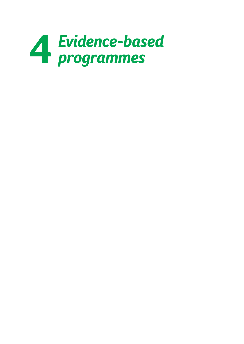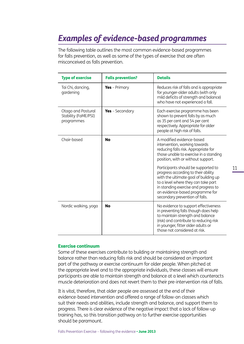# *Examples of evidence-based programmes*

The following table outlines the most common evidence-based programmes for falls prevention, as well as some of the types of exercise that are often misconceived as falls prevention.

| <b>Type of exercise</b>                                  | <b>Falls prevention?</b> | <b>Details</b>                                                                                                                                                                                                                                                          |
|----------------------------------------------------------|--------------------------|-------------------------------------------------------------------------------------------------------------------------------------------------------------------------------------------------------------------------------------------------------------------------|
| Tai Chi, dancing,<br>gardening                           | <b>Yes</b> - Primary     | Reduces risk of falls and is appropriate<br>for younger-older adults (with only<br>mild deficits of strength and balance)<br>who have not experienced a fall.                                                                                                           |
| Otago and Postural<br>Stability (FaME/PSI)<br>programmes | Yes - Secondary          | Each exercise programme has been<br>shown to prevent falls by as much<br>as 35 per cent and 54 per cent<br>respectively. Appropriate for older<br>people at high risk of falls.                                                                                         |
| Chair-based<br>No                                        |                          | A modified evidence-based<br>intervention, working towards<br>reducing falls risk. Appropriate for<br>those unable to exercise in a standing<br>position, with or without support.                                                                                      |
|                                                          |                          | Participants should be supported to<br>progress according to their ability<br>with the ultimate goal of building up<br>to a level where they can take part<br>in standing exercise and progress to<br>an evidence-based programme for<br>secondary prevention of falls. |
| Nordic walking, yoga                                     | <b>No</b>                | No evidence to support effectiveness<br>in preventing falls though does help<br>to maintain strength and balance<br>(risk) and contribute to reducing risk<br>in younger, fitter older adults or<br>those not considered at risk.                                       |

### Exercise continuum

Some of these exercises contribute to building or maintaining strength and balance rather than reducing falls risk and should be considered an important part of the pathway or exercise continuum for older people. When pitched at the appropriate level and to the appropriate individuals, these classes will ensure participants are able to maintain strength and balance at a level which counteracts muscle deterioration and does not revert them to their pre-intervention risk of falls.

It is vital, therefore, that older people are assessed at the end of their evidence-based intervention and offered a range of follow-on classes which suit their needs and abilities, include strength and balance, and support them to progress. There is clear evidence of the negative impact that a lack of follow-up training has, so this transition pathway on to further exercise opportunities should be paramount.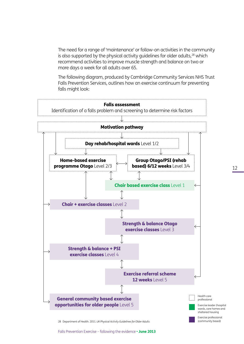The need for a range of 'maintenance' or follow-on activities in the community is also supported by the physical activity quidelines for older adults, $28$  which recommend activities to improve muscle strength and balance on two or more days a week for all adults over 65.

The following diagram, produced by Cambridge Community Services NHS Trust Falls Prevention Services, outlines how an exercise continuum for preventing falls might look:



28 Department of Health. 2011. *UK Physical Activity Guidelines for Older Adults*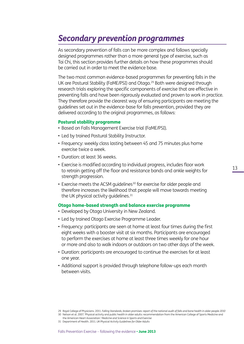# *Secondary prevention programmes*

As secondary prevention of falls can be more complex and follows specially designed programmes rather than a more general type of exercise, such as Tai Chi, this section provides further details on how these programmes should be carried out in order to meet the evidence base.

The two most common evidence-based programmes for preventing falls in the UK are Postural Stability (FaME/PSI) and Otago.<sup>29</sup> Both were designed through research trials exploring the specific components of exercise that are effective in preventing falls and have been rigorously evaluated and proven to work in practice. They therefore provide the clearest way of ensuring participants are meeting the guidelines set out in the evidence-base for falls prevention, provided they are delivered according to the original programmes, as follows:

### Postural stability programme

- Based on Falls Management Exercise trial (FaME/PSI).
- Led by trained Postural Stability Instructor.
- Frequency: weekly class lasting between 45 and 75 minutes plus home exercise twice a week.
- Duration: at least 36 weeks.
- Exercise is modified according to individual progress, includes floor work to retrain getting off the floor and resistance bands and ankle weights for strength progression.
- Exercise meets the ACSM quidelines<sup>30</sup> for exercise for older people and therefore increases the likelihood that people will move towards meeting the UK physical activity quidelines. $31$

### Otago home-based strength and balance exercise programme

- Developed by Otago University in New Zealand.
- Led by trained Otago Exercise Programme Leader.
- • Frequency: participants are seen at home at least four times during the first eight weeks with a booster visit at six months. Participants are encouraged to perform the exercises at home at least three times weekly for one hour or more and also to walk indoors or outdoors on two other days of the week.
- Duration: participants are encouraged to continue the exercises for at least one year.
- Additional support is provided through telephone follow-ups each month between visits.

<sup>29</sup> Royal College of Physicians. 2011. *Falling Standards, broken promises: report of the national audit of falls and bone health in older people 2010* 30 Nelson et al. 2007. 'Physical activity and public health in older adults: recommendation from the American College of Sports Medicine and

the American Heart Association.' *Medicine and Science in Sports and Exercise*

<sup>31</sup> Department of Health. 2011. *UK Physical Activity Guidelines for Older Adults*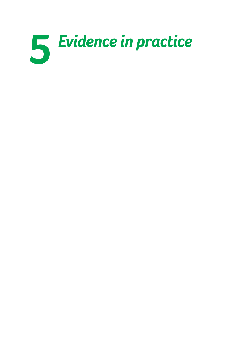# *Evidence in practice*

- 
- 
- -
	- -
		-
	-
	- - -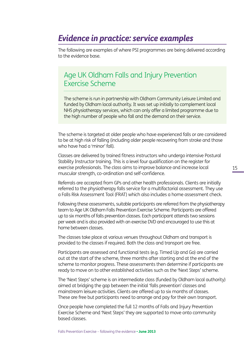## *Evidence in practice: service examples*

The following are examples of where PSI programmes are being delivered according to the evidence base.

## Age UK Oldham Falls and Injury Prevention Exercise Scheme

The scheme is run in partnership with Oldham Community Leisure Limited and funded by Oldham local authority. It was set up initially to complement local NHS physiotherapy services, which can only offer a limited programme due to the high number of people who fall and the demand on their service.

The scheme is targeted at older people who have experienced falls or are considered to be at high risk of falling (including older people recovering from stroke and those who have had a 'minor' fall).

Classes are delivered by trained fitness instructors who undergo intensive Postural Stability Instructor training. This is a level four qualification on the register for exercise professionals. The class aims to improve balance and increase local muscular strength, co-ordination and self-confidence.

Referrals are accepted from GPs and other health professionals. Clients are initially referred to the physiotherapy falls service for a multifactorial assessment. They use a Falls Risk Assessment Tool (FRAT) which also includes a home assessment check.

Following these assessments, suitable participants are referred from the physiotherapy team to Age UK Oldham Falls Prevention Exercise Scheme. Participants are offered up to six months of falls prevention classes. Each participant attends two sessions per week and is also provided with an exercise DVD and encouraged to use this at home between classes.

The classes take place at various venues throughout Oldham and transport is provided to the classes if required. Both the class and transport are free.

Participants are assessed and functional tests (e.g. Timed Up and Go) are carried out at the start of the scheme, three months after starting and at the end of the scheme to monitor progress. These assessments then determine if participants are ready to move on to other established activities such as the 'Next Steps' scheme.

The 'Next Steps' scheme is an intermediate class (funded by Oldham local authority) aimed at bridging the gap between the initial 'falls prevention' classes and mainstream leisure activities. Clients are offered up to six months of classes. These are free but participants need to arrange and pay for their own transport.

Once people have completed the full 12 months of Falls and Injury Prevention Exercise Scheme and 'Next Steps' they are supported to move onto community based classes.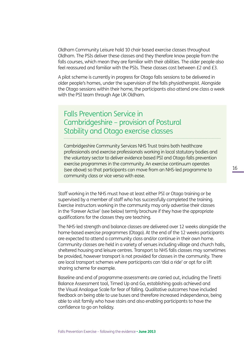Oldham Community Leisure hold 10 chair based exercise classes throughout Oldham. The PSIs deliver these classes and they therefore know people from the falls courses, which mean they are familiar with their abilities. The older people also feel reassured and familiar with the PSIs. These classes cost between £2 and £3.

A pilot scheme is currently in progress for Otago falls sessions to be delivered in older people's homes, under the supervision of the falls physiotherapist. Alongside the Otago sessions within their home, the participants also attend one class a week with the PSI team through Age UK Oldham.

## Falls Prevention Service in Cambridgeshire – provision of Postural Stability and Otago exercise classes

Cambridgeshire Community Services NHS Trust trains both healthcare professionals and exercise professionals working in local statutory bodies and the voluntary sector to deliver evidence based PSI and Otago falls prevention exercise programmes in the community. An exercise continuum operates (see above) so that participants can move from an NHS-led programme to community class or vice versa with ease.

Staff working in the NHS must have at least either PSI or Otago training or be supervised by a member of staff who has successfully completed the training. Exercise instructors working in the community may only advertise their classes in the 'Forever Active' (see below) termly brochure if they have the appropriate qualifications for the classes they are teaching.

The NHS-led strength and balance classes are delivered over 12 weeks alongside the home-based exercise programmes (Otago). At the end of the 12 weeks participants are expected to attend a community class and/or continue in their own home. Community classes are held in a variety of venues including village and church halls, sheltered housing and leisure centres. Transport to NHS falls classes may sometimes be provided, however transport is not provided for classes in the community. There are local transport schemes where participants can 'dial a ride' or opt for a lift sharing scheme for example.

Baseline and end of programme assessments are carried out, including the Tinetti Balance Assessment tool, Timed Up and Go, establishing goals achieved and the Visual Analogue Scale for fear of falling. Qualitative outcomes have included feedback on being able to use buses and therefore increased independence, being able to visit family who have stairs and also enabling participants to have the confidence to go on holiday.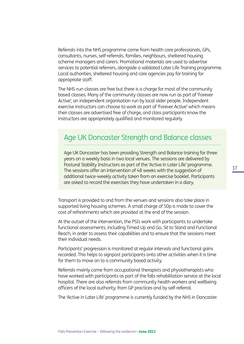Referrals into the NHS programme come from health care professionals, GPs, consultants, nurses, self-referrals, families, neighbours, sheltered housing scheme managers and carers. Promotional materials are used to advertise services to potential referrers, alongside a validated Later Life Training programme. Local authorities, sheltered housing and care agencies pay for training for appropriate staff.

The NHS-run classes are free but there is a charge for most of the community based classes. Many of the community classes are now run as part of 'Forever Active', an independent organisation run by local older people. Independent exercise instructors can choose to work as part of 'Forever Active' which means their classes are advertised free of charge, and class participants know the instructors are appropriately qualified and monitored regularly.

## Age UK Doncaster Strength and Balance classes

Age UK Doncaster has been providing Strength and Balance training for three years on a weekly basis in two local venues. The sessions are delivered by Postural Stability Instructors as part of the 'Active in Later Life' programme. The sessions offer an intervention of 48 weeks with the suggestion of additional twice-weekly activity taken from an exercise booklet. Participants are asked to record the exercises they have undertaken in a diary.

Transport is provided to and from the venues and sessions also take place in supported living housing schemes. A small charge of 50p is made to cover the cost of refreshments which are provided at the end of the session.

At the outset of the intervention, the PSIs work with participants to undertake functional assessments, including Timed Up and Go, Sit to Stand and Functional Reach, in order to assess their capabilities and to ensure that the sessions meet their individual needs.

Participants' progression is monitored at regular intervals and functional gains recorded. This helps to signpost participants onto other activities when it is time for them to move on to a community based activity.

Referrals mainly come from occupational therapists and physiotherapists who have worked with participants as part of the falls rehabilitation service at the local hospital. There are also referrals from community health workers and wellbeing officers of the local authority, from GP practices and by self-referral.

The 'Active in Later Life' programme is currently funded by the NHS in Doncaster.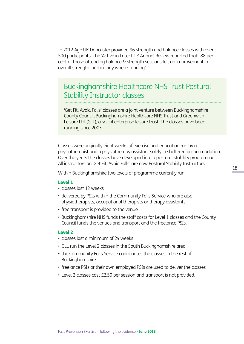In 2012 Age UK Doncaster provided 96 strength and balance classes with over 500 participants. The 'Active in Later Life' Annual Review reported that: '88 per cent of those attending balance & strength sessions felt an improvement in overall strength, particularly when standing'.

### Buckinghamshire Healthcare NHS Trust Postural Stability Instructor classes

'Get Fit, Avoid Falls' classes are a joint venture between Buckinghamshire County Council, Buckinghamshire Healthcare NHS Trust and Greenwich Leisure Ltd (GLL), a social enterprise leisure trust. The classes have been running since 2003.

Classes were originally eight weeks of exercise and education run by a physiotherapist and a physiotherapy assistant solely in sheltered accommodation. Over the years the classes have developed into a postural stability programme. All instructors on 'Get Fit, Avoid Falls' are now Postural Stability Instructors.

Within Buckinghamshire two levels of programme currently run:

#### Level 1

- classes last 12 weeks
- delivered by PSIs within the Community Falls Service who are also physiotherapists, occupational therapists or therapy assistants
- free transport is provided to the venue
- Buckinghamshire NHS funds the staff costs for Level 1 classes and the County Council funds the venues and transport and the freelance PSIs.

### Level 2

- classes last a minimum of 24 weeks
- GLL run the Level 2 classes in the South Buckinghamshire area
- the Community Falls Service coordinates the classes in the rest of Buckinghamshire
- freelance PSIs or their own employed PSIs are used to deliver the classes
- Level 2 classes cost £2.50 per session and transport is not provided.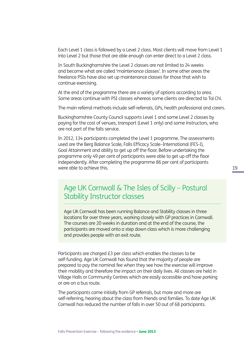Each Level 1 class is followed by a Level 2 class. Most clients will move from Level 1 into Level 2 but those that are able enough can enter direct to a Level 2 class.

In South Buckinghamshire the Level 2 classes are not limited to 24 weeks and become what are called 'maintenance classes'. In some other areas the freelance PSIs have also set up maintenance classes for those that wish to continue exercising.

At the end of the programme there are a variety of options according to area. Some areas continue with PSI classes whereas some clients are directed to Tai Chi.

The main referral methods include self-referrals, GPs, health professional and carers.

Buckinghamshire County Council supports Level 1 and some Level 2 classes by paying for the cost of venues, transport (Level 1 only) and some instructors, who are not part of the falls service.

In 2012, 134 participants completed the Level 1 programme. The assessments used are the Berg Balance Scale, Falls Efficacy Scale–International (FES-I), Goal Attainment and ability to get up off the floor. Before undertaking the programme only 49 per cent of participants were able to get up off the floor independently. After completing the programme 86 per cent of participants were able to achieve this.

## Age UK Cornwall & The Isles of Scilly – Postural Stability Instructor classes

Age UK Cornwall has been running Balance and Stability classes in three locations for over three years, working closely with GP practices in Cornwall. The courses are 20 weeks in duration and at the end of the course, the participants are moved onto a step down class which is more challenging and provides people with an exit route.

Participants are charged £3 per class which enables the classes to be self-funding. Age UK Cornwall has found that the majority of people are prepared to pay the nominal fee when they see how the exercise will improve their mobility and therefore the impact on their daily lives. All classes are held in Village Halls or Community Centres which are easily accessible and have parking or are on a bus route.

The participants came initially from GP referrals, but more and more are self-referring, hearing about the class from friends and families. To date Age UK Cornwall has reduced the number of falls in over 50 out of 68 participants.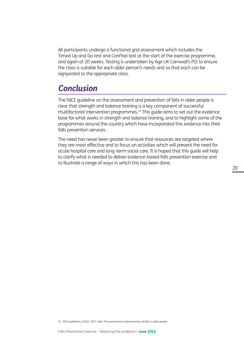All participants undergo a functional grid assessment which includes the Timed Up and Go test and ConFbal test at the start of the exercise programme, and again at 20 weeks. Testing is undertaken by Age UK Cornwall's PSI to ensure the class is suitable for each older person's needs and so that each can be signposted to the appropriate class.

## *Conclusion*

The NICE guideline on the assessment and prevention of falls in older people is clear that strength and balance training is a key component of successful multifactorial intervention programmes.32 This guide aims to set out the evidence base for what works in strength and balance training, and to highlight some of the programmes around the country which have incorporated this evidence into their falls prevention services.

The need has never been greater to ensure that resources are targeted where they are most effective and to focus on activities which will prevent the need for acute hospital care and long-term social care. It is hoped that this guide will help to clarify what is needed to deliver evidence-based falls prevention exercise and to illustrate a range of ways in which this has been done.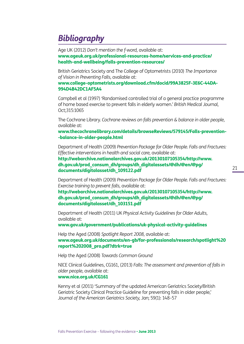# *Bibliography*

Age UK (2012) *Don't mention the f-word,* available at: www.ageuk.org.uk/professional-resources-home/services-and-practice/ health-and-wellbeing/falls-prevention-resources/

British Geriatrics Society and The College of Optometrists (2010) *The Importance of Vision in Preventing Falls,* available at:

www.college-optometrists.org/download.cfm/docid/99A3825F-3E6C-44DA-994D4B42DC1AF5A4

Campbell et al (1997) 'Randomised controlled trial of a general practice programme of home based exercise to prevent falls in elderly women.' *British Medical Journal,*  Oct;315:1065

The Cochrane Library. *Cochrane reviews on falls prevention & balance in older people,* available at:

www.thecochranelibrary.com/details/browseReviews/579145/Falls-prevention- -balance-in-older-people.html

Department of Health (2009) *Prevention Package for Older People. Falls and Fractures: Effective interventions in health and social care,* available at:

http://webarchive.nationalarchives.gov.uk/20130107105354/http://www. dh.gov.uk/prod\_consum\_dh/groups/dh\_digitalassets/@dh/@en/@pg/ documents/digitalasset/dh\_109122.pdf

Department of Health (2009) *Prevention Package for Older People. Falls and Fractures: Exercise training to prevent falls,* available at:

http://webarchive.nationalarchives.gov.uk/20130107105354/http://www. dh.gov.uk/prod\_consum\_dh/groups/dh\_digitalassets/@dh/@en/@pg/ documents/digitalasset/dh\_103151.pdf

Department of Health (2011) UK *Physical Activity Guidelines for Older Adults,* available at:

www.gov.uk/government/publications/uk-physical-activity-guidelines

Help the Aged (2008) *Spotlight Report 2008,* available at: www.ageuk.org.uk/documents/en-gb/for-professionals/research/spotlight%20 report%202008\_pro.pdf?dtrk=true

Help the Aged (2008) *Towards Common Ground*

NICE Clinical Guidelines, CG161, (2013) *Falls: The assessment and prevention of falls in older people,* available at: www.nice.org.uk/CG161

Kenny et al (2011) 'Summary of the updated American Geriatrics Society/British Geriatric Society Clinical Practice Guideline for preventing falls in older people,' *Journal of the American Geriatrics Society*, Jan; 59(1): 148–57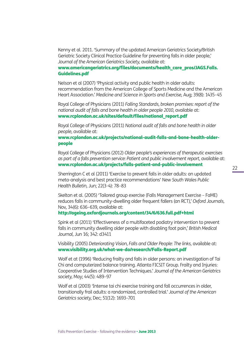Kenny et al. 2011. 'Summary of the updated American Geriatrics Society/British Geriatric Society Clinical Practice Guideline for preventing falls in older people,' *Journal of the American Geriatrics Society,* available at:

### www.americangeriatrics.org/files/documents/health\_care\_pros/JAGS.Falls. Guidelines.pdf

Nelson et al (2007) 'Physical activity and public health in older adults: recommendation from the American College of Sports Medicine and the American Heart Association.' *Medicine and Science in Sports and Exercise,* Aug; 39(8): 1435–45

Royal College of Physicians (2011) *Falling Standards, broken promises: report of the national audit of falls and bone health in older people 2010,* available at: www.rcplondon.ac.uk/sites/default/files/national\_report.pdf

Royal College of Physicians (2011) *National audit of falls and bone health in older people,* available at:

### www.rcplondon.ac.uk/projects/national-audit-falls-and-bone-health-olderpeople

Royal College of Physicians (2012) *Older people's experiences of therapeutic exercises as part of a falls prevention service: Patient and public involvement report,* available at: www.rcplondon.ac.uk/projects/falls-patient-and-public-involvement

Sherrington C et al (2011) 'Exercise to prevent falls in older adults: an updated meta-analysis and best practice recommendations' *New South Wales Public Health Bulletin,* Jun; 22(3-4): 78–83

Skelton et al. (2005) 'Tailored group exercise (Falls Management Exercise – FaME) reduces falls in community-dwelling older frequent fallers (an RCT),' *Oxford Journals,* Nov, 34(6): 636–639, available at:

### http://ageing.oxfordjournals.org/content/34/6/636.full.pdf+html

Spink et al (2011) 'Effectiveness of a multifaceted podiatry intervention to prevent falls in community dwelling older people with disabling foot pain,' *British Medical Journal,* Jun 16; 342: d3411

Visibility (2005) *Deteriorating Vision, Falls and Older People: The links,* available at: www.visibility.org.uk/what-we-do/research/Falls-Report.pdf

Wolf et at (1996) 'Reducing frailty and falls in older persons: an investigation of Tai Chi and computerized balance training. Atlanta FICSIT Group. Frailty and Injuries: Cooperative Studies of Intervention Techniques.' *Journal of the American Geriatrics society,* May; 44(5): 489–97

Wolf et al (2003) 'Intense tai chi exercise training and fall occurrences in older, transitionally frail adults: a randomized, controlled trial.' *Journal of the American Geriatrics society,* Dec; 51(12): 1693–701